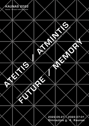